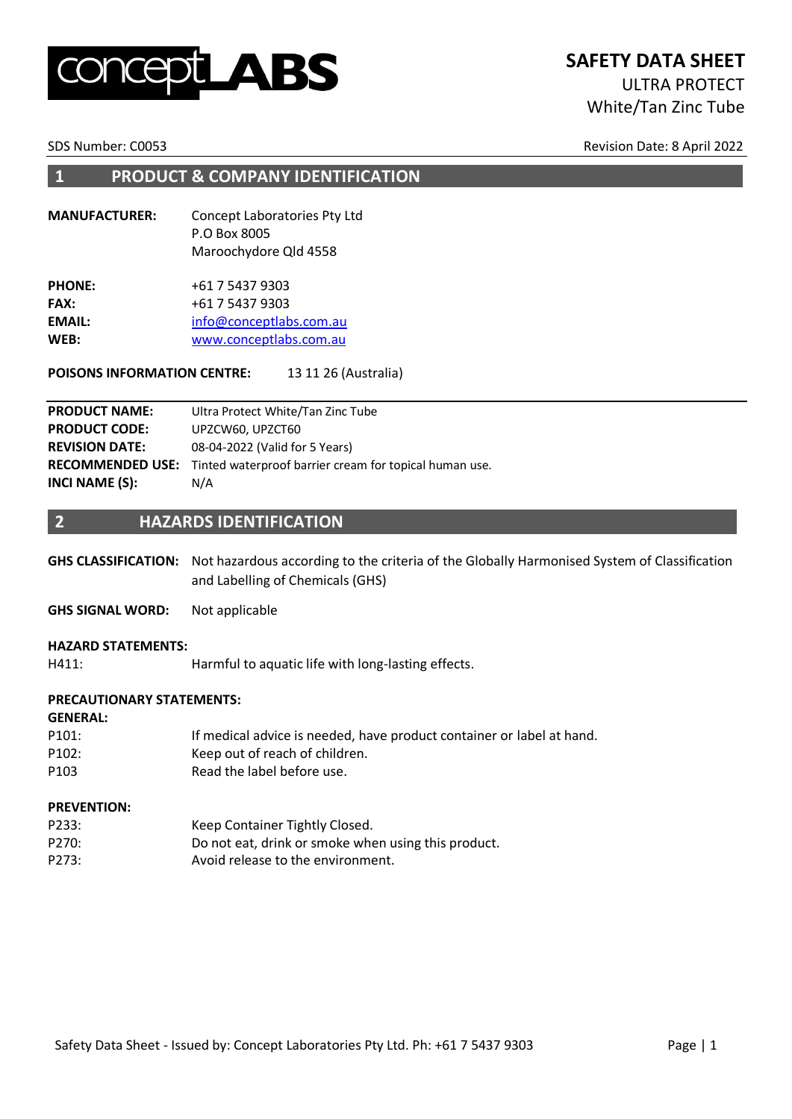## $\blacktriangle$ BS

# **SAFETY DATA SHEET**

ULTRA PROTECT White/Tan Zinc Tube

SDS Number: C0053 Revision Date: 8 April 2022

#### **1 PRODUCT & COMPANY IDENTIFICATION**

**MANUFACTURER:** Concept Laboratories Pty Ltd P.O Box 8005 Maroochydore Qld 4558

| <b>PHONE:</b> | +61 7 5437 9303         |
|---------------|-------------------------|
| <b>FAX:</b>   | +61 7 5437 9303         |
| <b>EMAIL:</b> | info@conceptlabs.com.au |
| WEB:          | www.conceptlabs.com.au  |
|               |                         |

**POISONS INFORMATION CENTRE:** 13 11 26 (Australia)

| <b>PRODUCT NAME:</b>  | Ultra Protect White/Tan Zinc Tube                                              |
|-----------------------|--------------------------------------------------------------------------------|
| <b>PRODUCT CODE:</b>  | UPZCW60, UPZCT60                                                               |
| <b>REVISION DATE:</b> | 08-04-2022 (Valid for 5 Years)                                                 |
|                       | <b>RECOMMENDED USE:</b> Tinted waterproof barrier cream for topical human use. |
| INCI NAME (S):        | N/A                                                                            |
|                       |                                                                                |

#### **2 HAZARDS IDENTIFICATION**

**GHS CLASSIFICATION:** Not hazardous according to the criteria of the Globally Harmonised System of Classification and Labelling of Chemicals (GHS)

**GHS SIGNAL WORD:** Not applicable

#### **HAZARD STATEMENTS:**

H411: Harmful to aquatic life with long-lasting effects.

#### **PRECAUTIONARY STATEMENTS:**

#### **GENERAL:**

P101: If medical advice is needed, have product container or label at hand. P102: Keep out of reach of children. P103 Read the label before use.

#### **PREVENTION:**

P233: Keep Container Tightly Closed. P270: Do not eat, drink or smoke when using this product. P273: Avoid release to the environment.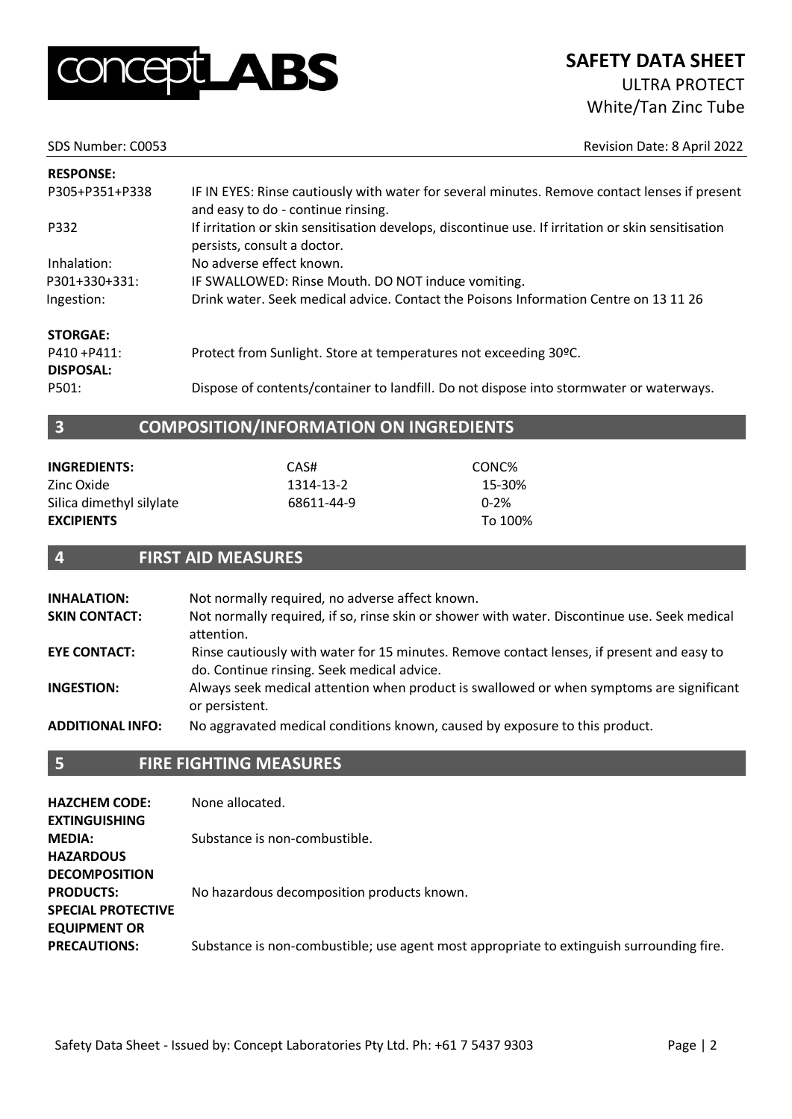

SDS Number: C0053 **Revision Date: 8 April 2022** 

| <b>RESPONSE:</b> |                                                                                                                                     |
|------------------|-------------------------------------------------------------------------------------------------------------------------------------|
| P305+P351+P338   | IF IN EYES: Rinse cautiously with water for several minutes. Remove contact lenses if present<br>and easy to do - continue rinsing. |
| P332             | If irritation or skin sensitisation develops, discontinue use. If irritation or skin sensitisation<br>persists, consult a doctor.   |
| Inhalation:      | No adverse effect known.                                                                                                            |
| P301+330+331:    | IF SWALLOWED: Rinse Mouth. DO NOT induce vomiting.                                                                                  |
| Ingestion:       | Drink water. Seek medical advice. Contact the Poisons Information Centre on 13 11 26                                                |
| <b>STORGAE:</b>  |                                                                                                                                     |
| P410 + P411:     | Protect from Sunlight. Store at temperatures not exceeding 30°C.                                                                    |
| <b>DISPOSAL:</b> |                                                                                                                                     |
| P501:            | Dispose of contents/container to landfill. Do not dispose into stormwater or waterways.                                             |

#### **3 COMPOSITION/INFORMATION ON INGREDIENTS**

| <b>INGREDIENTS:</b>      | CAS#       | CONC%    |
|--------------------------|------------|----------|
| Zinc Oxide               | 1314-13-2  | 15-30%   |
| Silica dimethyl silylate | 68611-44-9 | $0 - 2%$ |
| <b>EXCIPIENTS</b>        |            | To 100%  |
|                          |            |          |

#### **4 FIRST AID MEASURES**

| <b>INHALATION:</b>      | Not normally required, no adverse affect known.                                                                                         |
|-------------------------|-----------------------------------------------------------------------------------------------------------------------------------------|
| <b>SKIN CONTACT:</b>    | Not normally required, if so, rinse skin or shower with water. Discontinue use. Seek medical<br>attention.                              |
| <b>EYE CONTACT:</b>     | Rinse cautiously with water for 15 minutes. Remove contact lenses, if present and easy to<br>do. Continue rinsing. Seek medical advice. |
| <b>INGESTION:</b>       | Always seek medical attention when product is swallowed or when symptoms are significant<br>or persistent.                              |
| <b>ADDITIONAL INFO:</b> | No aggravated medical conditions known, caused by exposure to this product.                                                             |

#### **5 FIRE FIGHTING MEASURES**

| <b>HAZCHEM CODE:</b><br><b>EXTINGUISHING</b>                                                                     | None allocated.                                                                          |
|------------------------------------------------------------------------------------------------------------------|------------------------------------------------------------------------------------------|
| <b>MEDIA:</b>                                                                                                    | Substance is non-combustible.                                                            |
| <b>HAZARDOUS</b><br><b>DECOMPOSITION</b><br><b>PRODUCTS:</b><br><b>SPECIAL PROTECTIVE</b><br><b>EQUIPMENT OR</b> | No hazardous decomposition products known.                                               |
| <b>PRECAUTIONS:</b>                                                                                              | Substance is non-combustible; use agent most appropriate to extinguish surrounding fire. |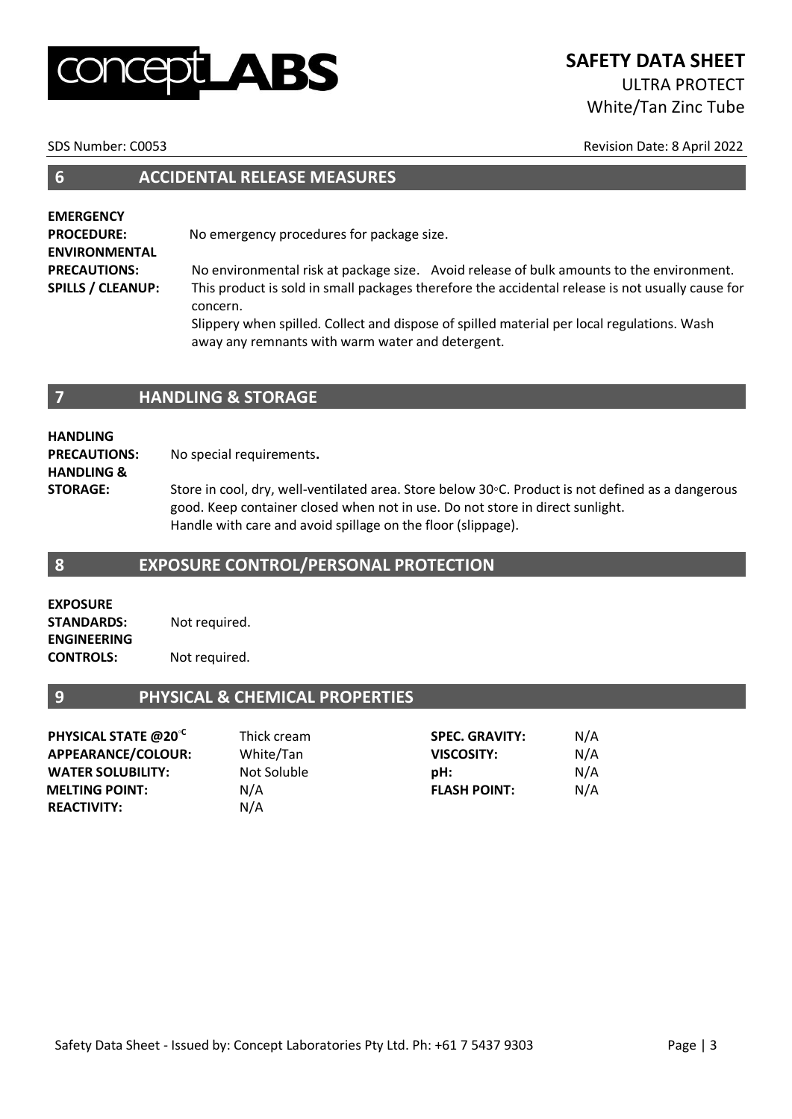# BS

## **SAFETY DATA SHEET** ULTRA PROTECT White/Tan Zinc Tube

SDS Number: C0053 Revision Date: 8 April 2022

| <b>ACCIDENTAL RELEASE MEASURES</b> |
|------------------------------------|
|------------------------------------|

**EMERGENCY PROCEDURE:** No emergency procedures for package size. **ENVIRONMENTAL PRECAUTIONS:** No environmental risk at package size. Avoid release of bulk amounts to the environment. **SPILLS / CLEANUP:** This product is sold in small packages therefore the accidental release is not usually cause for concern.

Slippery when spilled. Collect and dispose of spilled material per local regulations. Wash away any remnants with warm water and detergent.

#### **7 HANDLING & STORAGE**

**HANDLING PRECAUTIONS:** No special requirements**. HANDLING &** 

**STORAGE:** Store in cool, dry, well-ventilated area. Store below 30◦C. Product is not defined as a dangerous good. Keep container closed when not in use. Do not store in direct sunlight. Handle with care and avoid spillage on the floor (slippage).

#### **8 EXPOSURE CONTROL/PERSONAL PROTECTION**

**EXPOSURE STANDARDS:** Not required. **ENGINEERING CONTROLS:** Not required.

#### **9 PHYSICAL & CHEMICAL PROPERTIES**

| PHYSICAL STATE @20 <sup>°C</sup> | Thick cream | <b>SPEC. GRAVITY:</b> | N/A |
|----------------------------------|-------------|-----------------------|-----|
| APPEARANCE/COLOUR:               | White/Tan   | <b>VISCOSITY:</b>     | N/A |
| <b>WATER SOLUBILITY:</b>         | Not Soluble | pH:                   | N/A |
| <b>MELTING POINT:</b>            | N/A         | <b>FLASH POINT:</b>   | N/A |
| <b>REACTIVITY:</b>               | N/A         |                       |     |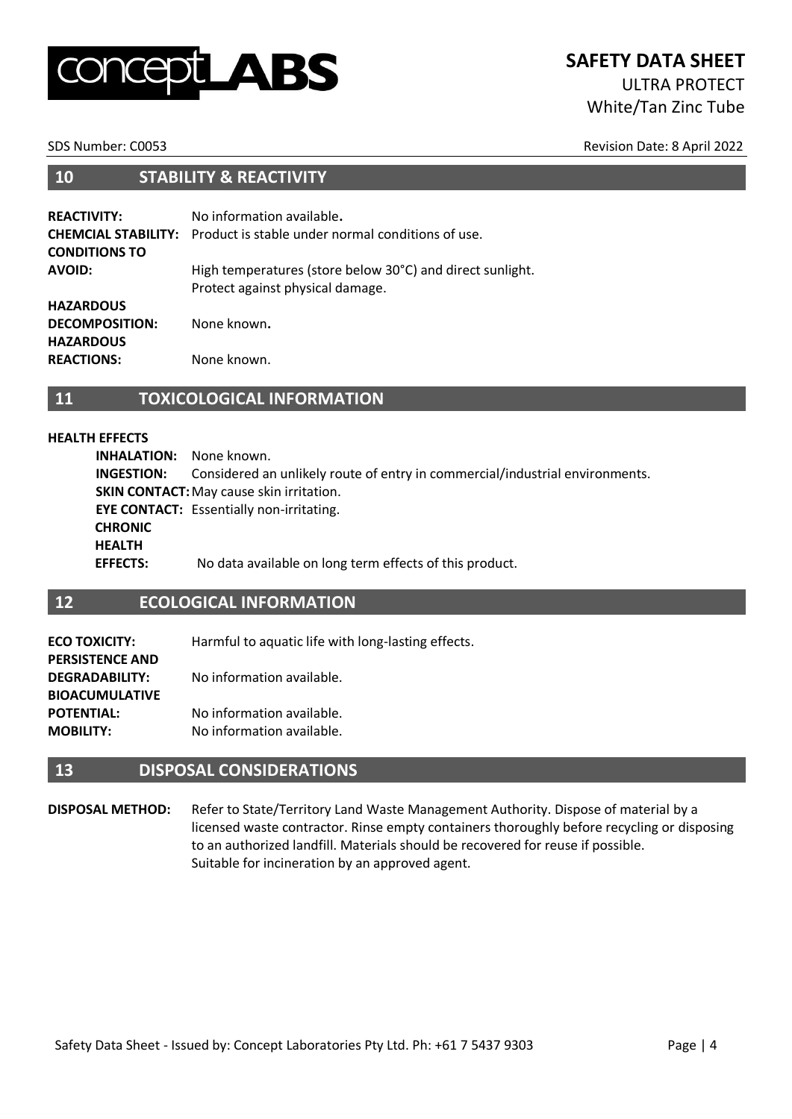### **SAFETY DATA SHEET** ULTRA PROTECT White/Tan Zinc Tube

SDS Number: C0053 Revision Date: 8 April 2022

#### **10 STABILITY & REACTIVITY**

| <b>REACTIVITY:</b><br><b>CONDITIONS TO</b>                    | No information available.<br><b>CHEMCIAL STABILITY:</b> Product is stable under normal conditions of use. |
|---------------------------------------------------------------|-----------------------------------------------------------------------------------------------------------|
| <b>AVOID:</b>                                                 | High temperatures (store below 30°C) and direct sunlight.<br>Protect against physical damage.             |
| <b>HAZARDOUS</b><br><b>DECOMPOSITION:</b><br><b>HAZARDOUS</b> | None known.                                                                                               |
| <b>REACTIONS:</b>                                             | None known.                                                                                               |

#### **11 TOXICOLOGICAL INFORMATION**

#### **HEALTH EFFECTS**

**INHALATION:** None known. **INGESTION:** Considered an unlikely route of entry in commercial/industrial environments. **SKIN CONTACT:** May cause skin irritation. **EYE CONTACT:** Essentially non-irritating. **CHRONIC HEALTH EFFECTS:** No data available on long term effects of this product.

#### **12 ECOLOGICAL INFORMATION**

| Harmful to aquatic life with long-lasting effects. |
|----------------------------------------------------|
|                                                    |
| No information available.                          |
|                                                    |
| No information available.                          |
| No information available.                          |
|                                                    |

#### **13 DISPOSAL CONSIDERATIONS**

**DISPOSAL METHOD:** Refer to State/Territory Land Waste Management Authority. Dispose of material by a licensed waste contractor. Rinse empty containers thoroughly before recycling or disposing to an authorized landfill. Materials should be recovered for reuse if possible. Suitable for incineration by an approved agent.